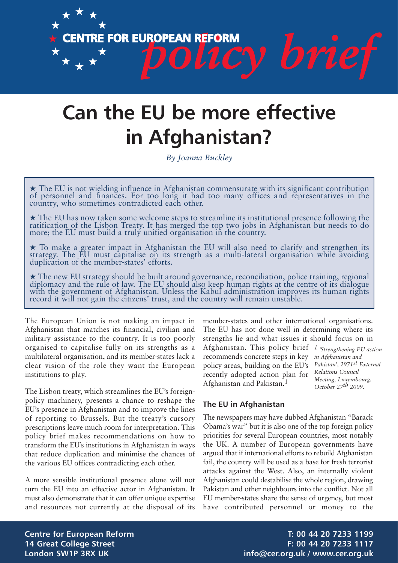

# **Can the EU be more effective in Afghanistan?**

*By Joanna Buckley*

★ The EU is not wielding influence in Afghanistan commensurate with its significant contribution of personnel and finances. For too long it had too many offices and representatives in the country, who sometimes contradicted each other.

★ The EU has now taken some welcome steps to streamline its institutional presence following the ratification of the Lisbon Treaty. It has merged the top two jobs in Afghanistan but needs to do more; the EU must build a truly unified organisation in the country.

★ To make a greater impact in Afghanistan the EU will also need to clarify and strengthen its strategy. The EU must capitalise on its strength as a multi-lateral organisation while avoiding duplication of the member-states' efforts.

★ The new EU strategy should be built around governance, reconciliation, police training, regional diplomacy and the rule of law. The EU should also keep human rights at the centre of its dialogue with the government of Afghanistan. Unless the Kabul administration improves its human rights record it will not gain the citizens' trust, and the country will remain unstable.

The European Union is not making an impact in Afghanistan that matches its financial, civilian and military assistance to the country. It is too poorly organised to capitalise fully on its strengths as a multilateral organisation, and its member-states lack a clear vision of the role they want the European institutions to play.

The Lisbon treaty, which streamlines the EU's foreignpolicy machinery, presents a chance to reshape the EU's presence in Afghanistan and to improve the lines of reporting to Brussels. But the treaty's cursory prescriptions leave much room for interpretation. This policy brief makes recommendations on how to transform the EU's institutions in Afghanistan in ways that reduce duplication and minimise the chances of the various EU offices contradicting each other.

A more sensible institutional presence alone will not turn the EU into an effective actor in Afghanistan. It must also demonstrate that it can offer unique expertise and resources not currently at the disposal of its member-states and other international organisations. The EU has not done well in determining where its strengths lie and what issues it should focus on in

Afghanistan. This policy brief *1 'Strengthening EU action* recommends concrete steps in key policy areas, building on the EU's recently adopted action plan for Afghanistan and Pakistan.1

*in Afghanistan and Pakistan', 2971st External Relations Council Meeting, Luxembourg, October 27th 2009.*

# **The EU in Afghanistan**

The newspapers may have dubbed Afghanistan "Barack Obama's war" but it is also one of the top foreign policy priorities for several European countries, most notably the UK. A number of European governments have argued that if international efforts to rebuild Afghanistan fail, the country will be used as a base for fresh terrorist attacks against the West. Also, an internally violent Afghanistan could destabilise the whole region, drawing Pakistan and other neighbours into the conflict. Not all EU member-states share the sense of urgency, but most have contributed personnel or money to the

**Centre for European Reform T: 00 44 20 7233 1199 14 Great College Street F: 00 44 20 7233 1117** London SW1P 3RX UK **info@cer.org.uk / www.cer.org.uk**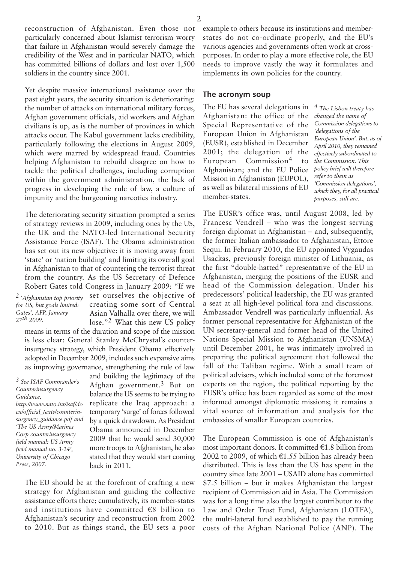reconstruction of Afghanistan. Even those not particularly concerned about Islamist terrorism worry that failure in Afghanistan would severely damage the credibility of the West and in particular NATO, which has committed billions of dollars and lost over 1,500 soldiers in the country since 2001.

Yet despite massive international assistance over the past eight years, the security situation is deteriorating: the number of attacks on international military forces, Afghan government officials, aid workers and Afghan civilians is up, as is the number of provinces in which attacks occur. The Kabul government lacks credibility, particularly following the elections in August 2009, which were marred by widespread fraud. Countries helping Afghanistan to rebuild disagree on how to tackle the political challenges, including corruption within the government administration, the lack of progress in developing the rule of law, a culture of impunity and the burgeoning narcotics industry.

The deteriorating security situation prompted a series of strategy reviews in 2009, including ones by the US, the UK and the NATO-led International Security Assistance Force (ISAF). The Obama administration has set out its new objective: it is moving away from 'state' or 'nation building' and limiting its overall goal in Afghanistan to that of countering the terrorist threat from the country. As the US Secretary of Defence Robert Gates told Congress in January 2009: "If we

*2 'Afghanistan top priority for US, but goals limited: Gates', AFP, January 27th 2009.*

set ourselves the objective of creating some sort of Central Asian Valhalla over there, we will lose."2 What this new US policy

means in terms of the duration and scope of the mission is less clear: General Stanley McChrystal's counterinsurgency strategy, which President Obama effectively adopted in December 2009, includes such expansive aims as improving governance, strengthening the rule of law

*3 See ISAF Commander's Counterinsurgency Guidance, http://www.nato.int/isaf/do cu/official\_texts/counterinsurgency\_guidance.pdf and 'The US Army/Marines Corp counterinsurgency field manual: US Army field manual no. 3-24', University of Chicago Press, 2007.*

and building the legitimacy of the Afghan government.3 But on balance the US seems to be trying to replicate the Iraq approach: a temporary 'surge' of forces followed by a quick drawdown. As President Obama announced in December 2009 that he would send 30,000 more troops to Afghanistan, he also stated that they would start coming back in 2011.

The EU should be at the forefront of crafting a new strategy for Afghanistan and guiding the collective assistance efforts there; cumulatively, its member-states and institutions have committed  $\epsilon$ 8 billion to Afghanistan's security and reconstruction from 2002 to 2010. But as things stand, the EU sets a poor example to others because its institutions and memberstates do not co-ordinate properly, and the EU's various agencies and governments often work at crosspurposes. In order to play a more effective role, the EU needs to improve vastly the way it formulates and implements its own policies for the country.

#### **The acronym soup**

The EU has several delegations in *4 The Lisbon treaty has* Afghanistan: the office of the Special Representative of the European Union in Afghanistan (EUSR), established in December 2001; the delegation of the European Commission4 to Afghanistan; and the EU Police Mission in Afghanistan (EUPOL), as well as bilateral missions of EU member-states.

*changed the name of Commission delegations to 'delegations of the European Union'. But, as of April 2010, they remained effectively subordinated to the Commission. This policy brief will therefore refer to them as 'Commission delegations', which they, for all practical purposes, still are.*

The EUSR's office was, until August 2008, led by Francesc Vendrell – who was the longest serving foreign diplomat in Afghanistan – and, subsequently, the former Italian ambassador to Afghanistan, Ettore Sequi. In February 2010, the EU appointed Vygaudas Usackas, previously foreign minister of Lithuania, as the first "double-hatted" representative of the EU in Afghanistan, merging the positions of the EUSR and head of the Commission delegation. Under his predecessors' political leadership, the EU was granted a seat at all high-level political fora and discussions. Ambassador Vendrell was particularly influential. As former personal representative for Afghanistan of the UN secretary-general and former head of the United Nations Special Mission to Afghanistan (UNSMA) until December 2001, he was intimately involved in preparing the political agreement that followed the fall of the Taliban regime. With a small team of political advisers, which included some of the foremost experts on the region, the political reporting by the EUSR's office has been regarded as some of the most informed amongst diplomatic missions; it remains a vital source of information and analysis for the embassies of smaller European countries.

The European Commission is one of Afghanistan's most important donors. It committed  $E1.8$  billion from 2002 to 2009, of which  $\epsilon$ 1.55 billion has already been distributed. This is less than the US has spent in the country since late 2001 – USAID alone has committed \$7.5 billion – but it makes Afghanistan the largest recipient of Commission aid in Asia. The Commission was for a long time also the largest contributor to the Law and Order Trust Fund, Afghanistan (LOTFA), the multi-lateral fund established to pay the running costs of the Afghan National Police (ANP). The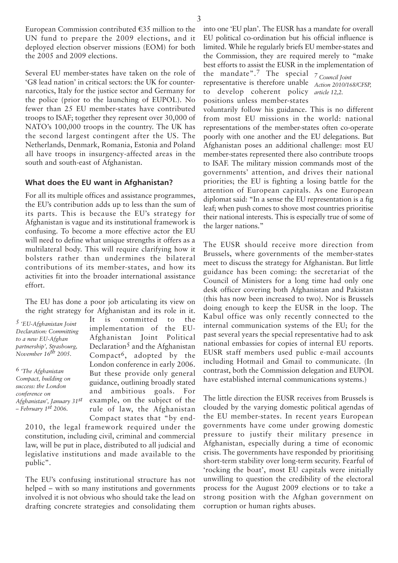European Commission contributed  $E35$  million to the UN fund to prepare the 2009 elections, and it deployed election observer missions (EOM) for both the 2005 and 2009 elections.

Several EU member-states have taken on the role of 'G8 lead nation' in critical sectors: the UK for counternarcotics, Italy for the justice sector and Germany for the police (prior to the launching of EUPOL). No fewer than 25 EU member-states have contributed troops to ISAF; together they represent over 30,000 of NATO's 100,000 troops in the country. The UK has the second largest contingent after the US. The Netherlands, Denmark, Romania, Estonia and Poland all have troops in insurgency-affected areas in the south and south-east of Afghanistan.

## **What does the EU want in Afghanistan?**

For all its multiple offices and assistance programmes, the EU's contribution adds up to less than the sum of its parts. This is because the EU's strategy for Afghanistan is vague and its institutional framework is confusing. To become a more effective actor the EU will need to define what unique strengths it offers as a multilateral body. This will require clarifying how it bolsters rather than undermines the bilateral contributions of its member-states, and how its activities fit into the broader international assistance effort.

The EU has done a poor job articulating its view on the right strategy for Afghanistan and its role in it.

*5 'EU-Afghanistan Joint Declaration: Committing to a new EU-Afghan partnership', Strasbourg, November 16th 2005.*

*6 'The Afghanistan Compact, building on success: the London conference on Afghanistan', January 31st – February 1st 2006.*

It is committed to the implementation of the EU-Afghanistan Joint Political Declaration<sup>5</sup> and the Afghanistan Compact6, adopted by the London conference in early 2006. But these provide only general guidance, outlining broadly stated and ambitious goals. For example, on the subject of the rule of law, the Afghanistan Compact states that "by end-

2010, the legal framework required under the constitution, including civil, criminal and commercial law, will be put in place, distributed to all judicial and legislative institutions and made available to the public".

The EU's confusing institutional structure has not helped – with so many institutions and governments involved it is not obvious who should take the lead on drafting concrete strategies and consolidating them

into one 'EU plan'. The EUSR has a mandate for overall EU political co-ordination but his official influence is limited. While he regularly briefs EU member-states and the Commission, they are required merely to "make best efforts to assist the EUSR in the implementation of

the mandate".7 The special *7 Council Joint* representative is therefore unable *Action 2010/168/CFSP,* to develop coherent policy *article 12,2.*positions unless member-states

voluntarily follow his guidance. This is no different from most EU missions in the world: national representations of the member-states often co-operate poorly with one another and the EU delegations. But Afghanistan poses an additional challenge: most EU member-states represented there also contribute troops to ISAF. The military mission commands most of the governments' attention, and drives their national priorities; the EU is fighting a losing battle for the attention of European capitals. As one European diplomat said: "In a sense the EU representation is a fig leaf; when push comes to shove most countries prioritise their national interests. This is especially true of some of the larger nations."

The EUSR should receive more direction from Brussels, where governments of the member-states meet to discuss the strategy for Afghanistan. But little guidance has been coming: the secretariat of the Council of Ministers for a long time had only one desk officer covering both Afghanistan and Pakistan (this has now been increased to two). Nor is Brussels doing enough to keep the EUSR in the loop. The Kabul office was only recently connected to the internal communication systems of the EU; for the past several years the special representative had to ask national embassies for copies of internal EU reports. EUSR staff members used public e-mail accounts including Hotmail and Gmail to communicate. (In contrast, both the Commission delegation and EUPOL have established internal communications systems.)

The little direction the EUSR receives from Brussels is clouded by the varying domestic political agendas of the EU member-states. In recent years European governments have come under growing domestic pressure to justify their military presence in Afghanistan, especially during a time of economic crisis. The governments have responded by prioritising short-term stability over long-term security. Fearful of 'rocking the boat', most EU capitals were initially unwilling to question the credibility of the electoral process for the August 2009 elections or to take a strong position with the Afghan government on corruption or human rights abuses.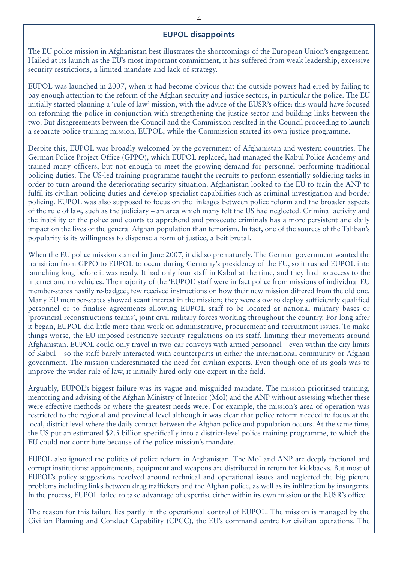## **EUPOL disappoints**

The EU police mission in Afghanistan best illustrates the shortcomings of the European Union's engagement. Hailed at its launch as the EU's most important commitment, it has suffered from weak leadership, excessive security restrictions, a limited mandate and lack of strategy.

EUPOL was launched in 2007, when it had become obvious that the outside powers had erred by failing to pay enough attention to the reform of the Afghan security and justice sectors, in particular the police. The EU initially started planning a 'rule of law' mission, with the advice of the EUSR's office: this would have focused on reforming the police in conjunction with strengthening the justice sector and building links between the two. But disagreements between the Council and the Commission resulted in the Council proceeding to launch a separate police training mission, EUPOL, while the Commission started its own justice programme.

Despite this, EUPOL was broadly welcomed by the government of Afghanistan and western countries. The German Police Project Office (GPPO), which EUPOL replaced, had managed the Kabul Police Academy and trained many officers, but not enough to meet the growing demand for personnel performing traditional policing duties. The US-led training programme taught the recruits to perform essentially soldiering tasks in order to turn around the deteriorating security situation. Afghanistan looked to the EU to train the ANP to fulfil its civilian policing duties and develop specialist capabilities such as criminal investigation and border policing. EUPOL was also supposed to focus on the linkages between police reform and the broader aspects of the rule of law, such as the judiciary – an area which many felt the US had neglected. Criminal activity and the inability of the police and courts to apprehend and prosecute criminals has a more persistent and daily impact on the lives of the general Afghan population than terrorism. In fact, one of the sources of the Taliban's popularity is its willingness to dispense a form of justice, albeit brutal.

When the EU police mission started in June 2007, it did so prematurely. The German government wanted the transition from GPPO to EUPOL to occur during Germany's presidency of the EU, so it rushed EUPOL into launching long before it was ready. It had only four staff in Kabul at the time, and they had no access to the internet and no vehicles. The majority of the 'EUPOL' staff were in fact police from missions of individual EU member-states hastily re-badged; few received instructions on how their new mission differed from the old one. Many EU member-states showed scant interest in the mission; they were slow to deploy sufficiently qualified personnel or to finalise agreements allowing EUPOL staff to be located at national military bases or 'provincial reconstructions teams', joint civil-military forces working throughout the country. For long after it began, EUPOL did little more than work on administrative, procurement and recruitment issues. To make things worse, the EU imposed restrictive security regulations on its staff, limiting their movements around Afghanistan. EUPOL could only travel in two-car convoys with armed personnel – even within the city limits of Kabul – so the staff barely interacted with counterparts in either the international community or Afghan government. The mission underestimated the need for civilian experts. Even though one of its goals was to improve the wider rule of law, it initially hired only one expert in the field.

Arguably, EUPOL's biggest failure was its vague and misguided mandate. The mission prioritised training, mentoring and advising of the Afghan Ministry of Interior (MoI) and the ANP without assessing whether these were effective methods or where the greatest needs were. For example, the mission's area of operation was restricted to the regional and provincial level although it was clear that police reform needed to focus at the local, district level where the daily contact between the Afghan police and population occurs. At the same time, the US put an estimated \$2.5 billion specifically into a district-level police training programme, to which the EU could not contribute because of the police mission's mandate.

EUPOL also ignored the politics of police reform in Afghanistan. The MoI and ANP are deeply factional and corrupt institutions: appointments, equipment and weapons are distributed in return for kickbacks. But most of EUPOL's policy suggestions revolved around technical and operational issues and neglected the big picture problems including links between drug traffickers and the Afghan police, as well as its infiltration by insurgents. In the process, EUPOL failed to take advantage of expertise either within its own mission or the EUSR's office.

The reason for this failure lies partly in the operational control of EUPOL. The mission is managed by the Civilian Planning and Conduct Capability (CPCC), the EU's command centre for civilian operations. The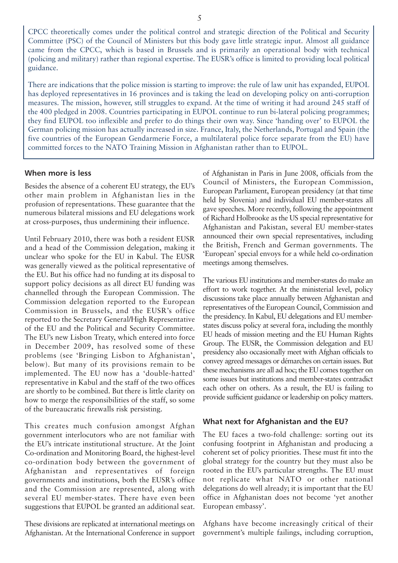CPCC theoretically comes under the political control and strategic direction of the Political and Security Committee (PSC) of the Council of Ministers but this body gave little strategic input. Almost all guidance came from the CPCC, which is based in Brussels and is primarily an operational body with technical (policing and military) rather than regional expertise. The EUSR's office is limited to providing local political guidance.

There are indications that the police mission is starting to improve: the rule of law unit has expanded, EUPOL has deployed representatives in 16 provinces and is taking the lead on developing policy on anti-corruption measures. The mission, however, still struggles to expand. At the time of writing it had around 245 staff of the 400 pledged in 2008. Countries participating in EUPOL continue to run bi-lateral policing programmes; they find EUPOL too inflexible and prefer to do things their own way. Since 'handing over' to EUPOL the German policing mission has actually increased in size. France, Italy, the Netherlands, Portugal and Spain (the five countries of the European Gendarmerie Force, a multilateral police force separate from the EU) have committed forces to the NATO Training Mission in Afghanistan rather than to EUPOL.

## **When more is less**

Besides the absence of a coherent EU strategy, the EU's other main problem in Afghanistan lies in the profusion of representations. These guarantee that the numerous bilateral missions and EU delegations work at cross-purposes, thus undermining their influence.

Until February 2010, there was both a resident EUSR and a head of the Commission delegation, making it unclear who spoke for the EU in Kabul. The EUSR was generally viewed as the political representative of the EU. But his office had no funding at its disposal to support policy decisions as all direct EU funding was channelled through the European Commission. The Commission delegation reported to the European Commission in Brussels, and the EUSR's office reported to the Secretary General/High Representative of the EU and the Political and Security Committee. The EU's new Lisbon Treaty, which entered into force in December 2009, has resolved some of these problems (see 'Bringing Lisbon to Afghanistan', below). But many of its provisions remain to be implemented. The EU now has a 'double-hatted' representative in Kabul and the staff of the two offices are shortly to be combined. But there is little clarity on how to merge the responsibilities of the staff, so some of the bureaucratic firewalls risk persisting.

This creates much confusion amongst Afghan government interlocutors who are not familiar with the EU's intricate institutional structure. At the Joint Co-ordination and Monitoring Board, the highest-level co-ordination body between the government of Afghanistan and representatives of foreign governments and institutions, both the EUSR's office and the Commission are represented, along with several EU member-states. There have even been suggestions that EUPOL be granted an additional seat.

These divisions are replicated at international meetings on Afghanistan. At the International Conference in support of Afghanistan in Paris in June 2008, officials from the Council of Ministers, the European Commission, European Parliament, European presidency (at that time held by Slovenia) and individual EU member-states all gave speeches. More recently, following the appointment of Richard Holbrooke as the US special representative for Afghanistan and Pakistan, several EU member-states announced their own special representatives, including the British, French and German governments. The 'European' special envoys for a while held co-ordination meetings among themselves.

The various EU institutions and member-states do make an effort to work together. At the ministerial level, policy discussions take place annually between Afghanistan and representatives of the European Council, Commission and the presidency. In Kabul, EU delegations and EU memberstates discuss policy at several fora, including the monthly EU heads of mission meeting and the EU Human Rights Group. The EUSR, the Commission delegation and EU presidency also occasionally meet with Afghan officials to convey agreed messages or démarches on certain issues. But these mechanisms are all ad hoc; the EU comes together on some issues but institutions and member-states contradict each other on others. As a result, the EU is failing to provide sufficient guidance or leadership on policy matters.

### **What next for Afghanistan and the EU?**

The EU faces a two-fold challenge: sorting out its confusing footprint in Afghanistan and producing a coherent set of policy priorities. These must fit into the global strategy for the country but they must also be rooted in the EU's particular strengths. The EU must not replicate what NATO or other national delegations do well already; it is important that the EU office in Afghanistan does not become 'yet another European embassy'.

Afghans have become increasingly critical of their government's multiple failings, including corruption,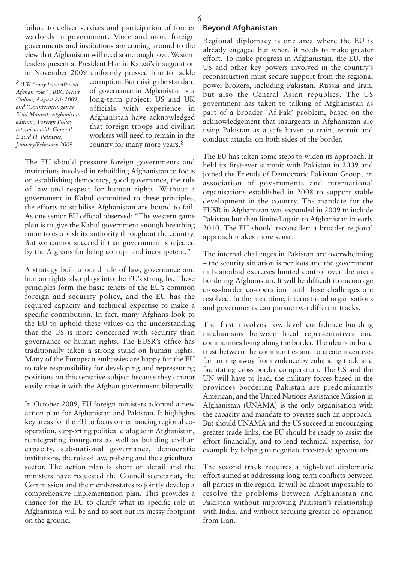failure to deliver services and participation of former warlords in government. More and more foreign governments and institutions are coming around to the view that Afghanistan will need some tough love. Western leaders present at President Hamid Karzai's inauguration in November 2009 uniformly pressed him to tackle

*8 'UK "may have 40-year Afghan role"', BBC News Online, August 8th 2009, and 'Counterinsurgency Field Manual: Afghanistan edition', Foreign Policy interview with General David H. Petraeus, January/February 2009.*

corruption. But raising the standard of governance in Afghanistan is a long-term project. US and UK officials with experience in Afghanistan have acknowledged that foreign troops and civilian workers will need to remain in the country for many more years.8

The EU should pressure foreign governments and institutions involved in rebuilding Afghanistan to focus on establishing democracy, good governance, the rule of law and respect for human rights. Without a government in Kabul committed to these principles, the efforts to stabilise Afghanistan are bound to fail. As one senior EU official observed: "The western game plan is to give the Kabul government enough breathing room to establish its authority throughout the country. But we cannot succeed if that government is rejected by the Afghans for being corrupt and incompetent."

A strategy built around rule of law, governance and human rights also plays into the EU's strengths. These principles form the basic tenets of the EU's common foreign and security policy, and the EU has the required capacity and technical expertise to make a specific contribution. In fact, many Afghans look to the EU to uphold these values on the understanding that the US is more concerned with security than governance or human rights. The EUSR's office has traditionally taken a strong stand on human rights. Many of the European embassies are happy for the EU to take responsibility for developing and representing positions on this sensitive subject because they cannot easily raise it with the Afghan government bilaterally.

In October 2009, EU foreign ministers adopted a new action plan for Afghanistan and Pakistan. It highlights key areas for the EU to focus on: enhancing regional cooperation, supporting political dialogue in Afghanistan, reintegrating insurgents as well as building civilian capacity, sub-national governance, democratic institutions, the rule of law, policing and the agricultural sector. The action plan is short on detail and the ministers have requested the Council secretariat, the Commission and the member-states to jointly develop a comprehensive implementation plan. This provides a chance for the EU to clarify what its specific role in Afghanistan will be and to sort out its messy footprint on the ground.

## **Beyond Afghanistan**

Regional diplomacy is one area where the EU is already engaged but where it needs to make greater effort. To make progress in Afghanistan, the EU, the US and other key powers involved in the country's reconstruction must secure support from the regional power-brokers, including Pakistan, Russia and Iran, but also the Central Asian republics. The US government has taken to talking of Afghanistan as part of a broader 'Af-Pak' problem, based on the acknowledgement that insurgents in Afghanistan are using Pakistan as a safe haven to train, recruit and conduct attacks on both sides of the border.

The EU has taken some steps to widen its approach. It held its first-ever summit with Pakistan in 2009 and joined the Friends of Democratic Pakistan Group, an association of governments and international organisations established in 2008 to support stable development in the country. The mandate for the EUSR in Afghanistan was expanded in 2009 to include Pakistan but then limited again to Afghanistan in early 2010. The EU should reconsider: a broader regional approach makes more sense.

The internal challenges in Pakistan are overwhelming – the security situation is perilous and the government in Islamabad exercises limited control over the areas bordering Afghanistan. It will be difficult to encourage cross-border co-operation until these challenges are resolved. In the meantime, international organisations and governments can pursue two different tracks.

The first involves low-level confidence-building mechanisms between local representatives and communities living along the border. The idea is to build trust between the communities and to create incentives for turning away from violence by enhancing trade and facilitating cross-border co-operation. The US and the UN will have to lead; the military forces based in the provinces bordering Pakistan are predominantly American, and the United Nations Assistance Mission in Afghanistan (UNAMA) is the only organisation with the capacity and mandate to oversee such an approach. But should UNAMA and the US succeed in encouraging greater trade links, the EU should be ready to assist the effort financially, and to lend technical expertise, for example by helping to negotiate free-trade agreements.

The second track requires a high-level diplomatic effort aimed at addressing long-term conflicts between all parties in the region. It will be almost impossible to resolve the problems between Afghanistan and Pakistan without improving Pakistan's relationship with India, and without securing greater co-operation from Iran.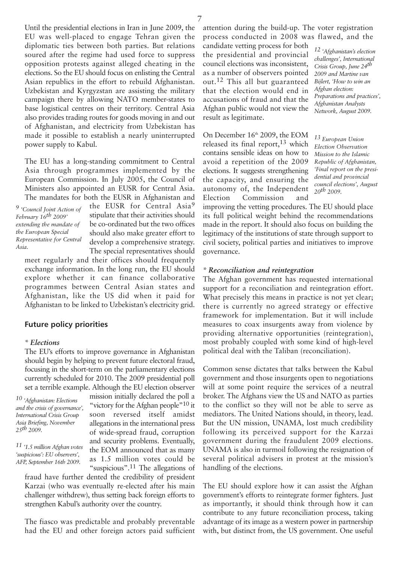Until the presidential elections in Iran in June 2009, the EU was well-placed to engage Tehran given the diplomatic ties between both parties. But relations soured after the regime had used force to suppress opposition protests against alleged cheating in the elections. So the EU should focus on enlisting the Central Asian republics in the effort to rebuild Afghanistan. Uzbekistan and Kyrgyzstan are assisting the military campaign there by allowing NATO member-states to base logistical centres on their territory. Central Asia also provides trading routes for goods moving in and out of Afghanistan, and electricity from Uzbekistan has made it possible to establish a nearly uninterrupted power supply to Kabul.

The EU has a long-standing commitment to Central Asia through programmes implemented by the European Commission. In July 2005, the Council of Ministers also appointed an EUSR for Central Asia. The mandates for both the EUSR in Afghanistan and

*9 'Council Joint Action of February 16th 2009' extending the mandate of the European Special Representative for Central Asia.*

the EUSR for Central Asia<sup>9</sup> stipulate that their activities should be co-ordinated but the two offices should also make greater effort to develop a comprehensive strategy. The special representatives should

meet regularly and their offices should frequently exchange information. In the long run, the EU should explore whether it can finance collaborative programmes between Central Asian states and Afghanistan, like the US did when it paid for Afghanistan to be linked to Uzbekistan's electricity grid.

### **Future policy priorities**

#### *\* Elections*

The EU's efforts to improve governance in Afghanistan should begin by helping to prevent future electoral fraud, focusing in the short-term on the parliamentary elections currently scheduled for 2010. The 2009 presidential poll set a terrible example. Although the EU election observer

*10 'Afghanistan: Elections and the crisis of governance', International Crisis Group Asia Briefing, November 25th 2009.*

*11 '1.5 million Afghan votes 'suspicious': EU observers', AFP, September 16th 2009.*

mission initially declared the poll a "victory for the Afghan people"<sup>10</sup> it soon reversed itself amidst allegations in the international press of wide-spread fraud, corruption and security problems. Eventually, the EOM announced that as many as 1.5 million votes could be "suspicious".11 The allegations of

fraud have further dented the credibility of president Karzai (who was eventually re-elected after his main challenger withdrew), thus setting back foreign efforts to strengthen Kabul's authority over the country.

The fiasco was predictable and probably preventable had the EU and other foreign actors paid sufficient attention during the build-up. The voter registration process conducted in 2008 was flawed, and the

candidate vetting process for both the presidential and provincial council elections was inconsistent, as a number of observers pointed out.12 This all but guaranteed that the election would end in accusations of fraud and that the Afghan public would not view the result as legitimate.

On December 16<sup>th</sup> 2009, the EOM released its final report,13 which contains sensible ideas on how to avoid a repetition of the 2009 elections. It suggests strengthening the capacity, and ensuring the autonomy of, the Independent Election Commission and *12 'Afghanistan's election challenges', International Crisis Group, June 24th 2009 and Martine van Bijlert, 'How to win an Afghan election: Preparations and practices', Afghanistan Analysts Network, August 2009.*

*13 European Union Election Observation Mission to the Islamic Republic of Afghanistan, 'Final report on the presidential and provincial council elections', August 20th 2009.*

improving the vetting procedures. The EU should place its full political weight behind the recommendations made in the report. It should also focus on building the legitimacy of the institutions of state through support to civil society, political parties and initiatives to improve governance.

#### *\* Reconciliation and reintegration*

The Afghan government has requested international support for a reconciliation and reintegration effort. What precisely this means in practice is not yet clear; there is currently no agreed strategy or effective framework for implementation. But it will include measures to coax insurgents away from violence by providing alternative opportunities (reintegration), most probably coupled with some kind of high-level political deal with the Taliban (reconciliation).

Common sense dictates that talks between the Kabul government and those insurgents open to negotiations will at some point require the services of a neutral broker. The Afghans view the US and NATO as parties to the conflict so they will not be able to serve as mediators. The United Nations should, in theory, lead. But the UN mission, UNAMA, lost much credibility following its perceived support for the Karzai government during the fraudulent 2009 elections. UNAMA is also in turmoil following the resignation of several political advisers in protest at the mission's handling of the elections.

The EU should explore how it can assist the Afghan government's efforts to reintegrate former fighters. Just as importantly, it should think through how it can contribute to any future reconciliation process, taking advantage of its image as a western power in partnership with, but distinct from, the US government. One useful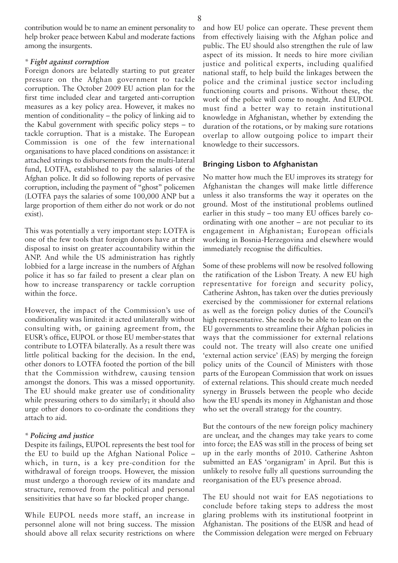contribution would be to name an eminent personality to help broker peace between Kabul and moderate factions among the insurgents.

### *\* Fight against corruption*

Foreign donors are belatedly starting to put greater pressure on the Afghan government to tackle corruption. The October 2009 EU action plan for the first time included clear and targeted anti-corruption measures as a key policy area. However, it makes no mention of conditionality – the policy of linking aid to the Kabul government with specific policy steps – to tackle corruption. That is a mistake. The European Commission is one of the few international organisations to have placed conditions on assistance: it attached strings to disbursements from the multi-lateral fund, LOTFA, established to pay the salaries of the Afghan police. It did so following reports of pervasive corruption, including the payment of "ghost" policemen (LOTFA pays the salaries of some 100,000 ANP but a large proportion of them either do not work or do not exist).

This was potentially a very important step: LOTFA is one of the few tools that foreign donors have at their disposal to insist on greater accountability within the ANP. And while the US administration has rightly lobbied for a large increase in the numbers of Afghan police it has so far failed to present a clear plan on how to increase transparency or tackle corruption within the force.

However, the impact of the Commission's use of conditionality was limited: it acted unilaterally without consulting with, or gaining agreement from, the EUSR's office, EUPOL or those EU member-states that contribute to LOTFA bilaterally. As a result there was little political backing for the decision. In the end, other donors to LOTFA footed the portion of the bill that the Commission withdrew, causing tension amongst the donors. This was a missed opportunity. The EU should make greater use of conditionality while pressuring others to do similarly; it should also urge other donors to co-ordinate the conditions they attach to aid.

### *\* Policing and justice*

Despite its failings, EUPOL represents the best tool for the EU to build up the Afghan National Police – which, in turn, is a key pre-condition for the withdrawal of foreign troops. However, the mission must undergo a thorough review of its mandate and structure, removed from the political and personal sensitivities that have so far blocked proper change.

While EUPOL needs more staff, an increase in personnel alone will not bring success. The mission should above all relax security restrictions on where

and how EU police can operate. These prevent them from effectively liaising with the Afghan police and public. The EU should also strengthen the rule of law aspect of its mission. It needs to hire more civilian justice and political experts, including qualified national staff, to help build the linkages between the police and the criminal justice sector including functioning courts and prisons. Without these, the work of the police will come to nought. And EUPOL must find a better way to retain institutional knowledge in Afghanistan, whether by extending the duration of the rotations, or by making sure rotations overlap to allow outgoing police to impart their knowledge to their successors.

## **Bringing Lisbon to Afghanistan**

No matter how much the EU improves its strategy for Afghanistan the changes will make little difference unless it also transforms the way it operates on the ground. Most of the institutional problems outlined earlier in this study – too many EU offices barely coordinating with one another – are not peculiar to its engagement in Afghanistan; European officials working in Bosnia-Herzegovina and elsewhere would immediately recognise the difficulties.

Some of these problems will now be resolved following the ratification of the Lisbon Treaty. A new EU high representative for foreign and security policy, Catherine Ashton, has taken over the duties previously exercised by the commissioner for external relations as well as the foreign policy duties of the Council's high representative. She needs to be able to lean on the EU governments to streamline their Afghan policies in ways that the commissioner for external relations could not. The treaty will also create one unified 'external action service' (EAS) by merging the foreign policy units of the Council of Ministers with those parts of the European Commission that work on issues of external relations. This should create much needed synergy in Brussels between the people who decide how the EU spends its money in Afghanistan and those who set the overall strategy for the country.

But the contours of the new foreign policy machinery are unclear, and the changes may take years to come into force; the EAS was still in the process of being set up in the early months of 2010. Catherine Ashton submitted an EAS 'organigram' in April. But this is unlikely to resolve fully all questions surrounding the reorganisation of the EU's presence abroad.

The EU should not wait for EAS negotiations to conclude before taking steps to address the most glaring problems with its institutional footprint in Afghanistan. The positions of the EUSR and head of the Commission delegation were merged on February